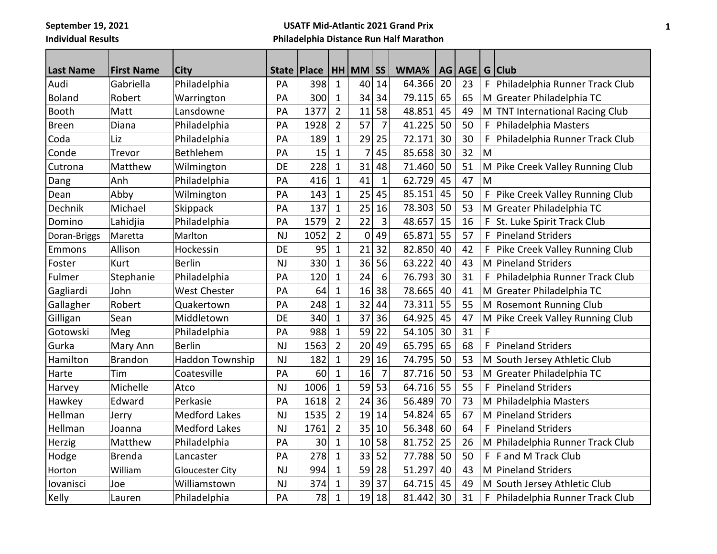**September 19, 2021 Individual Results**

## **USATF Mid-Atlantic 2021 Grand Prix Philadelphia Distance Run Half Marathon**

| <b>Last Name</b> | <b>First Name</b> | City                   | State     | Place |                | $HH$ MM SS     |                | WMA%   | AG | AGE |             | G Club                           |
|------------------|-------------------|------------------------|-----------|-------|----------------|----------------|----------------|--------|----|-----|-------------|----------------------------------|
| Audi             | Gabriella         | Philadelphia           | PA        | 398   | $\mathbf{1}$   | 40             | 14             | 64.366 | 20 | 23  | $\mathsf F$ | Philadelphia Runner Track Club   |
| <b>Boland</b>    | Robert            | Warrington             | PA        | 300   | $\mathbf{1}$   | 34             | 34             | 79.115 | 65 | 65  |             | M Greater Philadelphia TC        |
| Booth            | Matt              | Lansdowne              | PA        | 1377  | $\overline{2}$ | 11             | 58             | 48.851 | 45 | 49  |             | M TNT International Racing Club  |
| <b>Breen</b>     | Diana             | Philadelphia           | PA        | 1928  | $\overline{2}$ | 57             | $\overline{7}$ | 41.225 | 50 | 50  | F           | Philadelphia Masters             |
| Coda             | Liz               | Philadelphia           | PA        | 189   | $\mathbf{1}$   | 29             | 25             | 72.171 | 30 | 30  | $\mathsf F$ | Philadelphia Runner Track Club   |
| Conde            | Trevor            | Bethlehem              | PA        | 15    | $\mathbf{1}$   | $\overline{7}$ | 45             | 85.658 | 30 | 32  | M           |                                  |
| Cutrona          | Matthew           | Wilmington             | DE        | 228   | $\mathbf{1}$   | 31             | 48             | 71.460 | 50 | 51  |             | M Pike Creek Valley Running Club |
| Dang             | Anh               | Philadelphia           | PA        | 416   | $\mathbf 1$    | 41             | $\mathbf{1}$   | 62.729 | 45 | 47  | M           |                                  |
| Dean             | Abby              | Wilmington             | PA        | 143   | $\mathbf{1}$   | 25             | 45             | 85.151 | 45 | 50  | $\mathsf F$ | Pike Creek Valley Running Club   |
| Dechnik          | Michael           | Skippack               | PA        | 137   | 1              | 25             | 16             | 78.303 | 50 | 53  | M           | Greater Philadelphia TC          |
| Domino           | Lahidjia          | Philadelphia           | PA        | 1579  | $\overline{2}$ | 22             | 3              | 48.657 | 15 | 16  | F           | St. Luke Spirit Track Club       |
| Doran-Briggs     | Maretta           | Marlton                | <b>NJ</b> | 1052  | $\overline{2}$ | $\mathbf 0$    | 49             | 65.871 | 55 | 57  | F           | <b>Pineland Striders</b>         |
| Emmons           | Allison           | Hockessin              | DE        | 95    | $\mathbf{1}$   | 21             | 32             | 82.850 | 40 | 42  | $\mathsf F$ | Pike Creek Valley Running Club   |
| Foster           | Kurt              | <b>Berlin</b>          | NJ        | 330   | $\mathbf{1}$   | 36             | 56             | 63.222 | 40 | 43  | M           | Pineland Striders                |
| Fulmer           | Stephanie         | Philadelphia           | PA        | 120   | $\mathbf 1$    | 24             | 6              | 76.793 | 30 | 31  | F           | Philadelphia Runner Track Club   |
| Gagliardi        | John              | <b>West Chester</b>    | PA        | 64    | $\mathbf 1$    | 16             | 38             | 78.665 | 40 | 41  |             | M Greater Philadelphia TC        |
| Gallagher        | Robert            | Quakertown             | PA        | 248   | $\mathbf{1}$   | 32             | 44             | 73.311 | 55 | 55  |             | M Rosemont Running Club          |
| Gilligan         | Sean              | Middletown             | DE        | 340   | $\mathbf{1}$   | 37             | 36             | 64.925 | 45 | 47  | M           | Pike Creek Valley Running Club   |
| Gotowski         | Meg               | Philadelphia           | PA        | 988   | 1              | 59             | 22             | 54.105 | 30 | 31  | F           |                                  |
| Gurka            | Mary Ann          | <b>Berlin</b>          | <b>NJ</b> | 1563  | $\overline{2}$ | 20             | 49             | 65.795 | 65 | 68  | F           | <b>Pineland Striders</b>         |
| Hamilton         | <b>Brandon</b>    | <b>Haddon Township</b> | <b>NJ</b> | 182   | $\mathbf{1}$   | 29             | 16             | 74.795 | 50 | 53  |             | M South Jersey Athletic Club     |
| Harte            | Tim               | Coatesville            | PA        | 60    | $\mathbf{1}$   | 16             | $\overline{7}$ | 87.716 | 50 | 53  |             | M Greater Philadelphia TC        |
| Harvey           | Michelle          | Atco                   | <b>NJ</b> | 1006  | $\mathbf 1$    | 59             | 53             | 64.716 | 55 | 55  | F           | <b>Pineland Striders</b>         |
| Hawkey           | Edward            | Perkasie               | PA        | 1618  | $\overline{2}$ | 24             | 36             | 56.489 | 70 | 73  | M           | Philadelphia Masters             |
| Hellman          | Jerry             | <b>Medford Lakes</b>   | <b>NJ</b> | 1535  | $\overline{2}$ | 19             | 14             | 54.824 | 65 | 67  |             | M Pineland Striders              |
| Hellman          | Joanna            | <b>Medford Lakes</b>   | <b>NJ</b> | 1761  | $\overline{2}$ | 35             | 10             | 56.348 | 60 | 64  | F           | <b>Pineland Striders</b>         |
| Herzig           | Matthew           | Philadelphia           | PA        | 30    | 1              | 10             | 58             | 81.752 | 25 | 26  | M           | Philadelphia Runner Track Club   |
| Hodge            | <b>Brenda</b>     | Lancaster              | PA        | 278   | $\mathbf{1}$   | 33             | 52             | 77.788 | 50 | 50  | F           | F and M Track Club               |
| Horton           | William           | <b>Gloucester City</b> | NJ        | 994   | $\mathbf{1}$   | 59             | 28             | 51.297 | 40 | 43  |             | M Pineland Striders              |
| lovanisci        | Joe               | Williamstown           | <b>NJ</b> | 374   | $\mathbf{1}$   | 39             | 37             | 64.715 | 45 | 49  |             | M South Jersey Athletic Club     |
| Kelly            | Lauren            | Philadelphia           | PA        | 78    | $\mathbf{1}$   | 19             | 18             | 81.442 | 30 | 31  | F           | Philadelphia Runner Track Club   |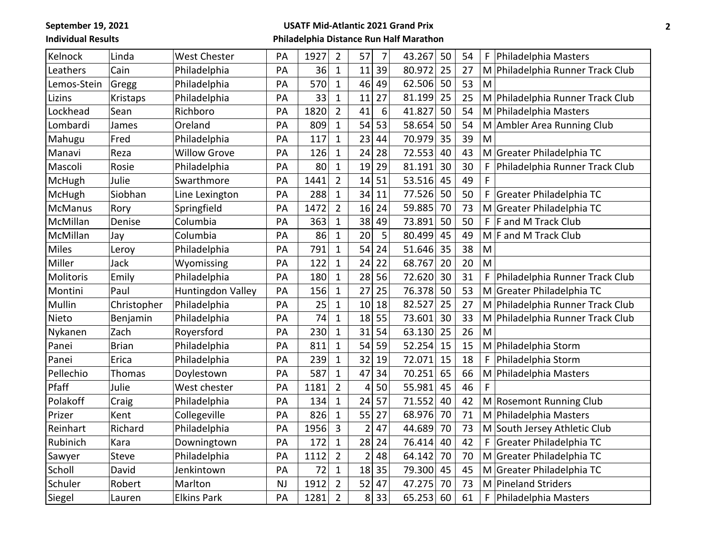**September 19, 2021 Individual Results**

## **USATF Mid-Atlantic 2021 Grand Prix Philadelphia Distance Run Half Marathon**

| Kelnock        | Linda        | <b>West Chester</b>      | PA        | 1927 | $\overline{2}$ | 57             | 7  | 43.267 | 50 | 54 | F | Philadelphia Masters             |
|----------------|--------------|--------------------------|-----------|------|----------------|----------------|----|--------|----|----|---|----------------------------------|
| Leathers       | Cain         | Philadelphia             | PA        | 36   | $\mathbf{1}$   | 11             | 39 | 80.972 | 25 | 27 | M | Philadelphia Runner Track Club   |
| Lemos-Stein    | Gregg        | Philadelphia             | PA        | 570  | $\mathbf{1}$   | 46             | 49 | 62.506 | 50 | 53 | M |                                  |
| Lizins         | Kristaps     | Philadelphia             | PA        | 33   | $\mathbf{1}$   | 11             | 27 | 81.199 | 25 | 25 | M | Philadelphia Runner Track Club   |
| Lockhead       | Sean         | Richboro                 | PA        | 1820 | $\overline{2}$ | 41             | 6  | 41.827 | 50 | 54 |   | M Philadelphia Masters           |
| Lombardi       | James        | Oreland                  | PA        | 809  | $\mathbf{1}$   | 54             | 53 | 58.654 | 50 | 54 |   | M Ambler Area Running Club       |
| Mahugu         | Fred         | Philadelphia             | PA        | 117  | $\mathbf{1}$   | 23             | 44 | 70.979 | 35 | 39 | M |                                  |
| Manavi         | Reza         | <b>Willow Grove</b>      | PA        | 126  | $\mathbf{1}$   | 24             | 28 | 72.553 | 40 | 43 | M | Greater Philadelphia TC          |
| Mascoli        | Rosie        | Philadelphia             | PA        | 80   | $\mathbf{1}$   | 19             | 29 | 81.191 | 30 | 30 | F | Philadelphia Runner Track Club   |
| McHugh         | Julie        | Swarthmore               | PA        | 1441 | $\overline{2}$ | 14             | 51 | 53.516 | 45 | 49 | F |                                  |
| McHugh         | Siobhan      | Line Lexington           | PA        | 288  | $\mathbf{1}$   | 34             | 11 | 77.526 | 50 | 50 | F | Greater Philadelphia TC          |
| <b>McManus</b> | Rory         | Springfield              | PA        | 1472 | $\overline{2}$ | 16             | 24 | 59.885 | 70 | 73 | M | Greater Philadelphia TC          |
| McMillan       | Denise       | Columbia                 | PA        | 363  | $\mathbf{1}$   | 38             | 49 | 73.891 | 50 | 50 | F | F and M Track Club               |
| McMillan       | Jay          | Columbia                 | PA        | 86   | $\mathbf{1}$   | 20             | 5  | 80.499 | 45 | 49 | M | F and M Track Club               |
| <b>Miles</b>   | Leroy        | Philadelphia             | PA        | 791  | $\mathbf{1}$   | 54             | 24 | 51.646 | 35 | 38 | M |                                  |
| Miller         | Jack         | Wyomissing               | PA        | 122  | $\mathbf{1}$   | 24             | 22 | 68.767 | 20 | 20 | M |                                  |
| Molitoris      | Emily        | Philadelphia             | PA        | 180  | $\mathbf{1}$   | 28             | 56 | 72.620 | 30 | 31 | F | Philadelphia Runner Track Club   |
| Montini        | Paul         | <b>Huntingdon Valley</b> | PA        | 156  | $\mathbf 1$    | 27             | 25 | 76.378 | 50 | 53 | M | Greater Philadelphia TC          |
| Mullin         | Christopher  | Philadelphia             | PA        | 25   | $\mathbf{1}$   | 10             | 18 | 82.527 | 25 | 27 |   | M Philadelphia Runner Track Club |
| Nieto          | Benjamin     | Philadelphia             | PA        | 74   | $\mathbf{1}$   | 18             | 55 | 73.601 | 30 | 33 | M | Philadelphia Runner Track Club   |
| Nykanen        | Zach         | Royersford               | PA        | 230  | $\mathbf{1}$   | 31             | 54 | 63.130 | 25 | 26 | M |                                  |
| Panei          | <b>Brian</b> | Philadelphia             | PA        | 811  | $\mathbf{1}$   | 54             | 59 | 52.254 | 15 | 15 |   | M Philadelphia Storm             |
| Panei          | Erica        | Philadelphia             | PA        | 239  | $\mathbf{1}$   | 32             | 19 | 72.071 | 15 | 18 | F | Philadelphia Storm               |
| Pellechio      | Thomas       | Doylestown               | PA        | 587  | $\mathbf{1}$   | 47             | 34 | 70.251 | 65 | 66 | M | Philadelphia Masters             |
| Pfaff          | Julie        | West chester             | PA        | 1181 | $\overline{2}$ | 4              | 50 | 55.981 | 45 | 46 | F |                                  |
| Polakoff       | Craig        | Philadelphia             | PA        | 134  | $\mathbf{1}$   | 24             | 57 | 71.552 | 40 | 42 |   | M Rosemont Running Club          |
| Prizer         | Kent         | Collegeville             | PA        | 826  | $\mathbf{1}$   | 55             | 27 | 68.976 | 70 | 71 |   | M Philadelphia Masters           |
| Reinhart       | Richard      | Philadelphia             | PA        | 1956 | 3              | $\overline{2}$ | 47 | 44.689 | 70 | 73 |   | M South Jersey Athletic Club     |
| Rubinich       | Kara         | Downingtown              | PA        | 172  | $\mathbf{1}$   | 28             | 24 | 76.414 | 40 | 42 | F | Greater Philadelphia TC          |
| Sawyer         | Steve        | Philadelphia             | PA        | 1112 | $\overline{2}$ | $\overline{2}$ | 48 | 64.142 | 70 | 70 | M | Greater Philadelphia TC          |
| Scholl         | David        | Jenkintown               | PA        | 72   | $\mathbf{1}$   | 18             | 35 | 79.300 | 45 | 45 |   | M Greater Philadelphia TC        |
| Schuler        | Robert       | Marlton                  | <b>NJ</b> | 1912 | $\overline{2}$ | 52             | 47 | 47.275 | 70 | 73 | M | Pineland Striders                |
| Siegel         | Lauren       | <b>Elkins Park</b>       | PA        | 1281 | $\overline{2}$ | 8              | 33 | 65.253 | 60 | 61 | F | Philadelphia Masters             |